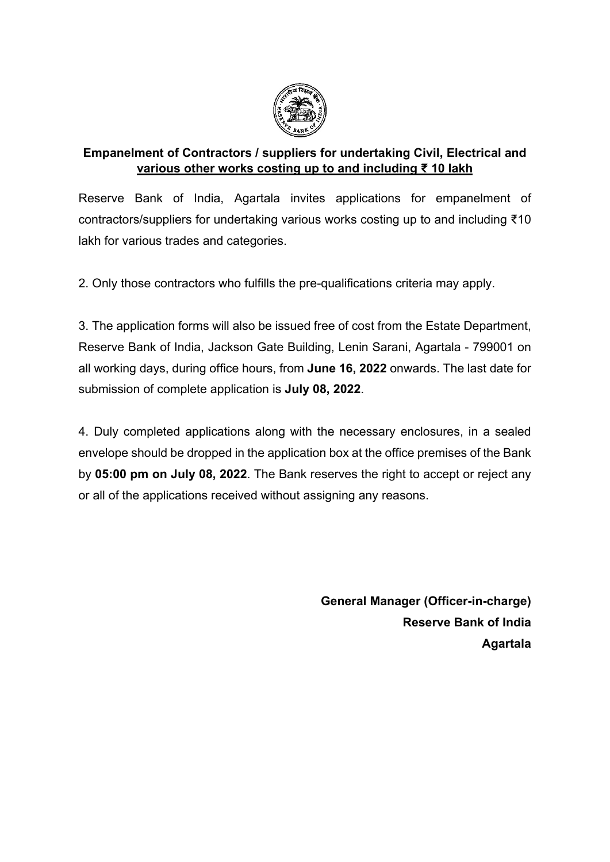

## **Empanelment of Contractors / suppliers for undertaking Civil, Electrical and various other works costing up to and including ₹ 10 lakh**

Reserve Bank of India, Agartala invites applications for empanelment of contractors/suppliers for undertaking various works costing up to and including ₹10 lakh for various trades and categories.

2. Only those contractors who fulfills the pre-qualifications criteria may apply.

3. The application forms will also be issued free of cost from the Estate Department, Reserve Bank of India, Jackson Gate Building, Lenin Sarani, Agartala - 799001 on all working days, during office hours, from **June 16, 2022** onwards. The last date for submission of complete application is **July 08, 2022**.

4. Duly completed applications along with the necessary enclosures, in a sealed envelope should be dropped in the application box at the office premises of the Bank by **05:00 pm on July 08, 2022**. The Bank reserves the right to accept or reject any or all of the applications received without assigning any reasons.

> **General Manager (Officer-in-charge) Reserve Bank of India Agartala**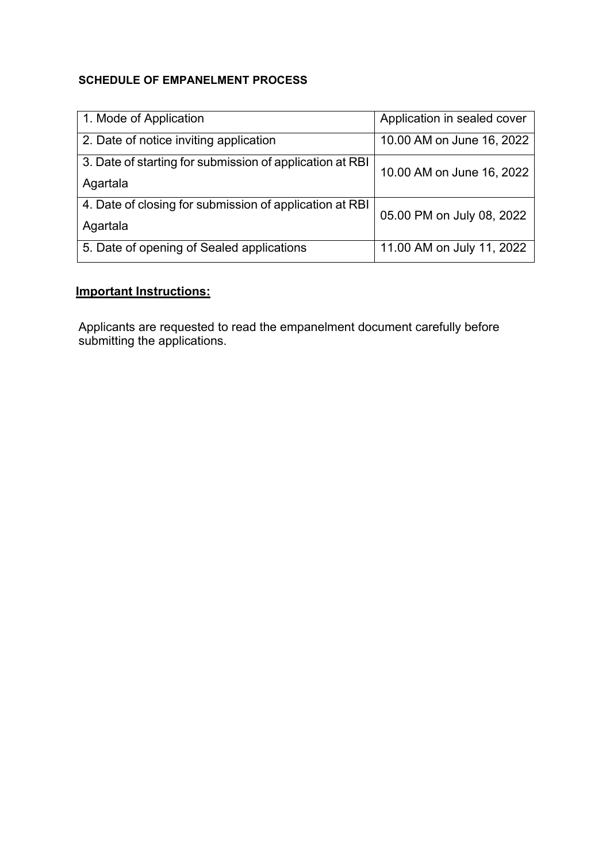### **SCHEDULE OF EMPANELMENT PROCESS**

| 1. Mode of Application                                   | Application in sealed cover |
|----------------------------------------------------------|-----------------------------|
| 2. Date of notice inviting application                   | 10.00 AM on June 16, 2022   |
| 3. Date of starting for submission of application at RBI | 10.00 AM on June 16, 2022   |
| Agartala                                                 |                             |
| 4. Date of closing for submission of application at RBI  | 05.00 PM on July 08, 2022   |
| Agartala                                                 |                             |
| 5. Date of opening of Sealed applications                | 11.00 AM on July 11, 2022   |

# **Important Instructions:**

Applicants are requested to read the empanelment document carefully before submitting the applications.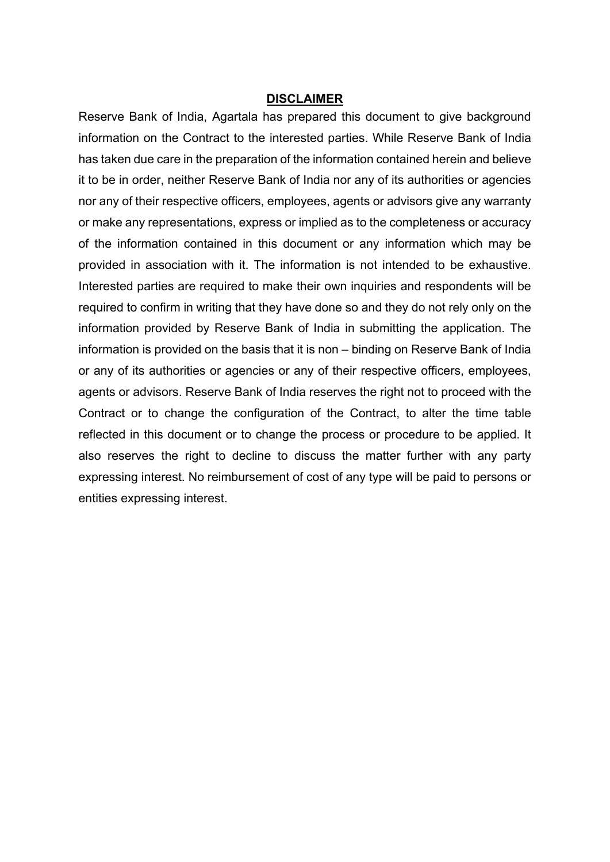#### **DISCLAIMER**

Reserve Bank of India, Agartala has prepared this document to give background information on the Contract to the interested parties. While Reserve Bank of India has taken due care in the preparation of the information contained herein and believe it to be in order, neither Reserve Bank of India nor any of its authorities or agencies nor any of their respective officers, employees, agents or advisors give any warranty or make any representations, express or implied as to the completeness or accuracy of the information contained in this document or any information which may be provided in association with it. The information is not intended to be exhaustive. Interested parties are required to make their own inquiries and respondents will be required to confirm in writing that they have done so and they do not rely only on the information provided by Reserve Bank of India in submitting the application. The information is provided on the basis that it is non – binding on Reserve Bank of India or any of its authorities or agencies or any of their respective officers, employees, agents or advisors. Reserve Bank of India reserves the right not to proceed with the Contract or to change the configuration of the Contract, to alter the time table reflected in this document or to change the process or procedure to be applied. It also reserves the right to decline to discuss the matter further with any party expressing interest. No reimbursement of cost of any type will be paid to persons or entities expressing interest.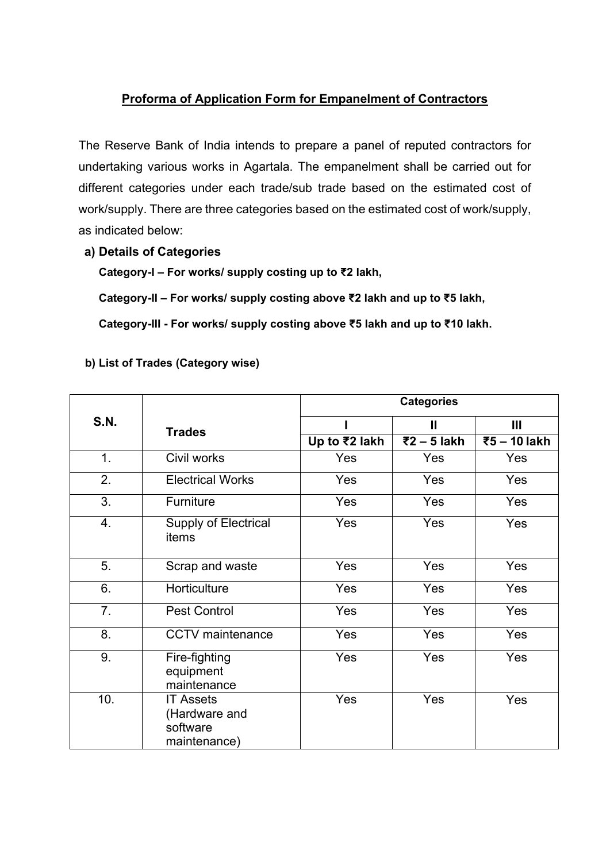# **Proforma of Application Form for Empanelment of Contractors**

The Reserve Bank of India intends to prepare a panel of reputed contractors for undertaking various works in Agartala. The empanelment shall be carried out for different categories under each trade/sub trade based on the estimated cost of work/supply. There are three categories based on the estimated cost of work/supply, as indicated below:

**a) Details of Categories**

**Category-I – For works/ supply costing up to ₹2 lakh,**

**Category-II – For works/ supply costing above ₹2 lakh and up to ₹5 lakh,** 

**Category-III - For works/ supply costing above ₹5 lakh and up to ₹10 lakh.**

| b) List of Trades (Category wise) |  |
|-----------------------------------|--|
|                                   |  |

|             |                                                               | <b>Categories</b> |             |              |  |
|-------------|---------------------------------------------------------------|-------------------|-------------|--------------|--|
| <b>S.N.</b> | <b>Trades</b>                                                 |                   | Ш           | Ш            |  |
|             |                                                               | Up to ₹2 lakh     | ₹2 – 5 lakh | ₹5 - 10 lakh |  |
| 1.          | Civil works                                                   | Yes               | Yes         | Yes          |  |
| 2.          | <b>Electrical Works</b>                                       | Yes               | Yes         | Yes          |  |
| 3.          | Furniture                                                     | Yes               | Yes         | Yes          |  |
| 4.          | <b>Supply of Electrical</b><br>items                          | Yes               | Yes         | Yes          |  |
| 5.          | Scrap and waste                                               | <b>Yes</b>        | Yes         | Yes          |  |
| 6.          | Horticulture                                                  | Yes               | Yes         | Yes          |  |
| 7.          | <b>Pest Control</b>                                           | Yes               | Yes         | Yes          |  |
| 8.          | <b>CCTV</b> maintenance                                       | <b>Yes</b>        | Yes         | Yes          |  |
| 9.          | Fire-fighting<br>equipment<br>maintenance                     | Yes               | Yes         | Yes          |  |
| 10.         | <b>IT Assets</b><br>(Hardware and<br>software<br>maintenance) | Yes               | Yes         | Yes          |  |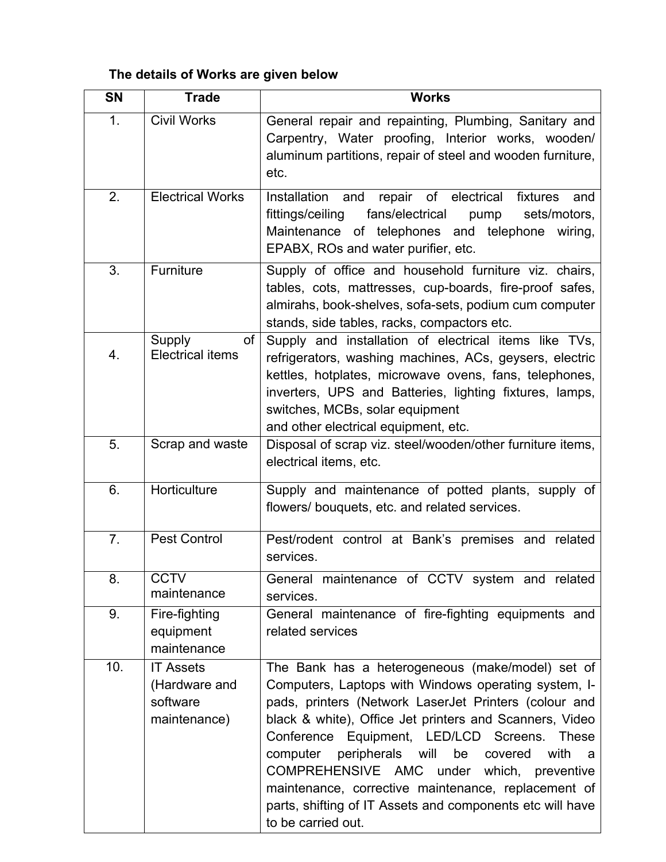# **The details of Works are given below**

| <b>SN</b> | <b>Trade</b>                                                  | <b>Works</b>                                                                                                                                                                                                                                                                                                                                                                                                                                                                                                                         |
|-----------|---------------------------------------------------------------|--------------------------------------------------------------------------------------------------------------------------------------------------------------------------------------------------------------------------------------------------------------------------------------------------------------------------------------------------------------------------------------------------------------------------------------------------------------------------------------------------------------------------------------|
| 1.        | <b>Civil Works</b>                                            | General repair and repainting, Plumbing, Sanitary and<br>Carpentry, Water proofing, Interior works, wooden/<br>aluminum partitions, repair of steel and wooden furniture,<br>etc.                                                                                                                                                                                                                                                                                                                                                    |
| 2.        | <b>Electrical Works</b>                                       | repair of electrical<br>Installation and<br>fixtures<br>and<br>fans/electrical<br>fittings/ceiling<br>sets/motors,<br>pump<br>Maintenance of telephones and telephone wiring,<br>EPABX, ROs and water purifier, etc.                                                                                                                                                                                                                                                                                                                 |
| 3.        | Furniture                                                     | Supply of office and household furniture viz. chairs,<br>tables, cots, mattresses, cup-boards, fire-proof safes,<br>almirahs, book-shelves, sofa-sets, podium cum computer<br>stands, side tables, racks, compactors etc.                                                                                                                                                                                                                                                                                                            |
| 4.        | Supply<br>of<br><b>Electrical items</b>                       | Supply and installation of electrical items like TVs,<br>refrigerators, washing machines, ACs, geysers, electric<br>kettles, hotplates, microwave ovens, fans, telephones,<br>inverters, UPS and Batteries, lighting fixtures, lamps,<br>switches, MCBs, solar equipment<br>and other electrical equipment, etc.                                                                                                                                                                                                                     |
| 5.        | Scrap and waste                                               | Disposal of scrap viz. steel/wooden/other furniture items,<br>electrical items, etc.                                                                                                                                                                                                                                                                                                                                                                                                                                                 |
| 6.        | Horticulture                                                  | Supply and maintenance of potted plants, supply of<br>flowers/ bouquets, etc. and related services.                                                                                                                                                                                                                                                                                                                                                                                                                                  |
| 7.        | <b>Pest Control</b>                                           | Pest/rodent control at Bank's premises and related<br>services.                                                                                                                                                                                                                                                                                                                                                                                                                                                                      |
| 8.        | <b>CCTV</b><br>maintenance                                    | General maintenance of CCTV system and related<br>services.                                                                                                                                                                                                                                                                                                                                                                                                                                                                          |
| 9.        | Fire-fighting<br>equipment<br>maintenance                     | General maintenance of fire-fighting equipments and<br>related services                                                                                                                                                                                                                                                                                                                                                                                                                                                              |
| 10.       | <b>IT Assets</b><br>(Hardware and<br>software<br>maintenance) | The Bank has a heterogeneous (make/model) set of<br>Computers, Laptops with Windows operating system, I-<br>pads, printers (Network LaserJet Printers (colour and<br>black & white), Office Jet printers and Scanners, Video<br>Conference Equipment, LED/LCD Screens.<br>These<br>computer<br>peripherals will<br>be<br>covered<br>with<br>a<br>COMPREHENSIVE AMC under which, preventive<br>maintenance, corrective maintenance, replacement of<br>parts, shifting of IT Assets and components etc will have<br>to be carried out. |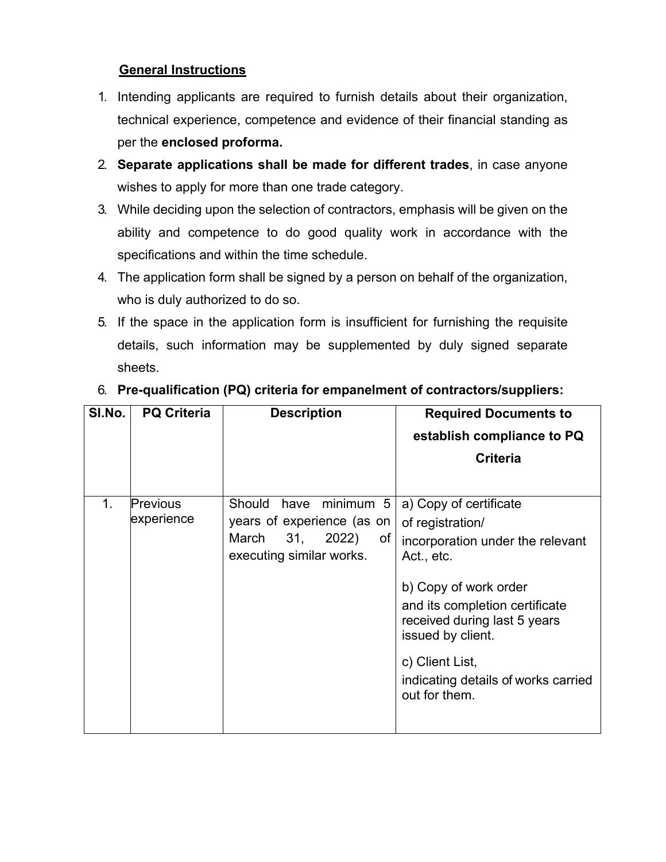### **General Instructions**

- 1. Intending applicants are required to furnish details about their organization, technical experience, competence and evidence of their financial standing as per the **enclosed proforma.**
- 2. **Separate applications shall be made for different trades**, in case anyone wishes to apply for more than one trade category.
- 3. While deciding upon the selection of contractors, emphasis will be given on the ability and competence to do good quality work in accordance with the specifications and within the time schedule.
- 4. The application form shall be signed by a person on behalf of the organization, who is duly authorized to do so.
- 5. If the space in the application form is insufficient for furnishing the requisite details, such information may be supplemented by duly signed separate sheets.

| SI.No. | <b>PQ Criteria</b>            | <b>Description</b>                                                                                                   | <b>Required Documents to</b><br>establish compliance to PQ<br><b>Criteria</b>                                                                                                                                                                                                           |
|--------|-------------------------------|----------------------------------------------------------------------------------------------------------------------|-----------------------------------------------------------------------------------------------------------------------------------------------------------------------------------------------------------------------------------------------------------------------------------------|
| 1.     | <b>Previous</b><br>experience | Should<br>minimum 5<br>have<br>years of experience (as on<br>March<br>2022)<br>31,<br>of<br>executing similar works. | a) Copy of certificate<br>of registration/<br>incorporation under the relevant<br>Act., etc.<br>b) Copy of work order<br>and its completion certificate<br>received during last 5 years<br>issued by client.<br>c) Client List,<br>indicating details of works carried<br>out for them. |

# 6. **Pre-qualification (PQ) criteria for empanelment of contractors/suppliers:**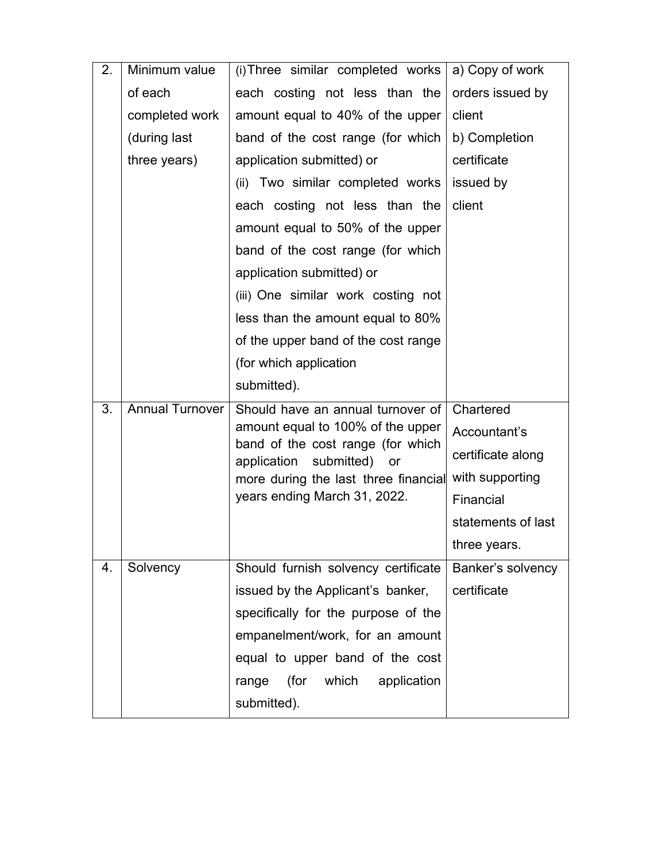| 2. | Minimum value          | (i) Three similar completed works $ a $ Copy of work              |                    |
|----|------------------------|-------------------------------------------------------------------|--------------------|
|    | of each                | each costing not less than the                                    | orders issued by   |
|    | completed work         | amount equal to 40% of the upper                                  | client             |
|    | (during last           | band of the cost range (for which                                 | b) Completion      |
|    | three years)           | application submitted) or                                         | certificate        |
|    |                        | (ii) Two similar completed works                                  | issued by          |
|    |                        | each costing not less than the                                    | client             |
|    |                        | amount equal to 50% of the upper                                  |                    |
|    |                        | band of the cost range (for which                                 |                    |
|    |                        | application submitted) or                                         |                    |
|    |                        | (iii) One similar work costing not                                |                    |
|    |                        | less than the amount equal to 80%                                 |                    |
|    |                        | of the upper band of the cost range                               |                    |
|    |                        | (for which application                                            |                    |
|    |                        | submitted).                                                       |                    |
| 3. | <b>Annual Turnover</b> | Should have an annual turnover of                                 | Chartered          |
|    |                        | amount equal to 100% of the upper                                 | Accountant's       |
|    |                        | band of the cost range (for which<br>application submitted)<br>or | certificate along  |
|    |                        | more during the last three financial                              | with supporting    |
|    |                        | years ending March 31, 2022.                                      | Financial          |
|    |                        |                                                                   | statements of last |
|    |                        |                                                                   | three years.       |
| 4. | Solvency               | Should furnish solvency certificate                               | Banker's solvency  |
|    |                        | issued by the Applicant's banker,                                 | certificate        |
|    |                        | specifically for the purpose of the                               |                    |
|    |                        | empanelment/work, for an amount                                   |                    |
|    |                        | equal to upper band of the cost                                   |                    |
|    |                        | (for<br>which<br>range<br>application                             |                    |
|    |                        | submitted).                                                       |                    |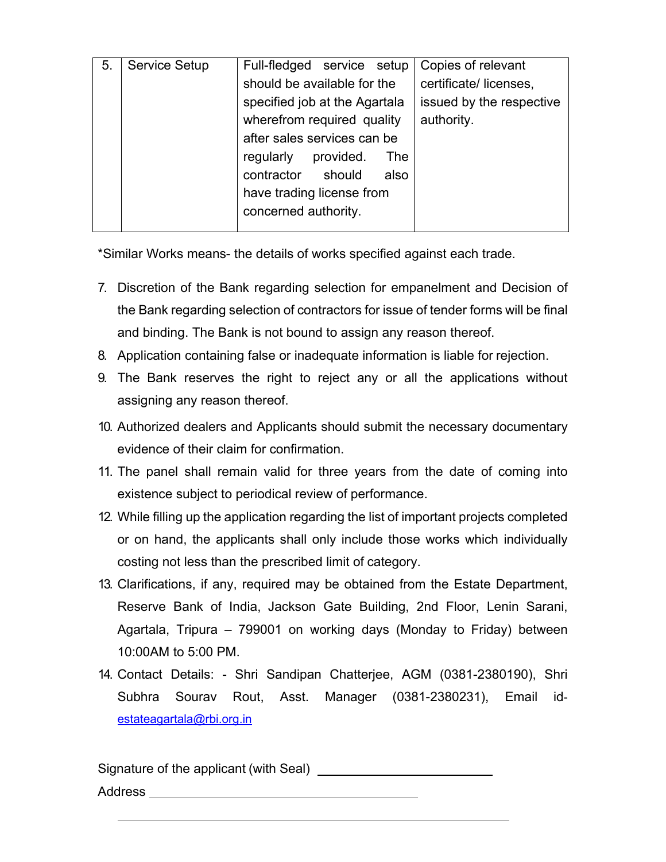| 5. | <b>Service Setup</b> | Full-fledged service setup    | Copies of relevant       |
|----|----------------------|-------------------------------|--------------------------|
|    |                      | should be available for the   | certificate/licenses,    |
|    |                      | specified job at the Agartala | issued by the respective |
|    |                      | wherefrom required quality    | authority.               |
|    |                      | after sales services can be   |                          |
|    |                      | regularly<br>provided.<br>The |                          |
|    |                      | contractor should<br>also     |                          |
|    |                      | have trading license from     |                          |
|    |                      | concerned authority.          |                          |
|    |                      |                               |                          |

\*Similar Works means- the details of works specified against each trade.

- 7. Discretion of the Bank regarding selection for empanelment and Decision of the Bank regarding selection of contractors for issue of tender forms will be final and binding. The Bank is not bound to assign any reason thereof.
- 8. Application containing false or inadequate information is liable for rejection.
- 9. The Bank reserves the right to reject any or all the applications without assigning any reason thereof.
- 10. Authorized dealers and Applicants should submit the necessary documentary evidence of their claim for confirmation.
- 11. The panel shall remain valid for three years from the date of coming into existence subject to periodical review of performance.
- 12. While filling up the application regarding the list of important projects completed or on hand, the applicants shall only include those works which individually costing not less than the prescribed limit of category.
- 13. Clarifications, if any, required may be obtained from the Estate Department, Reserve Bank of India, Jackson Gate Building, 2nd Floor, Lenin Sarani, Agartala, Tripura – 799001 on working days (Monday to Friday) between 10:00AM to 5:00 PM.
- 14. Contact Details: Shri Sandipan Chatterjee, AGM (0381-2380190), Shri Subhra Sourav Rout, Asst. Manager (0381-2380231), Email idestateagartala@rbi.org.in

Signature of the applicant (with Seal) Address \_\_\_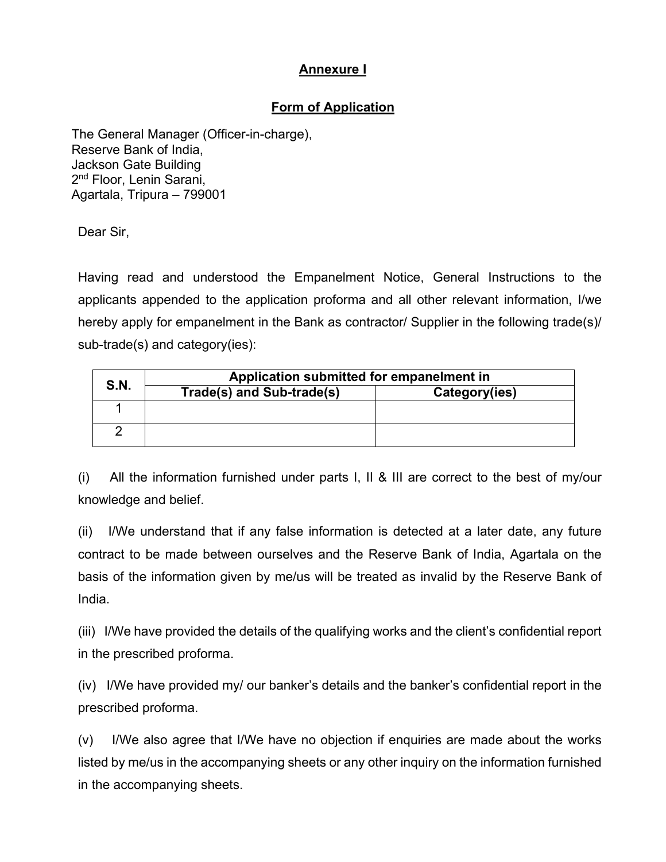## **Annexure I**

# **Form of Application**

 The General Manager (Officer-in-charge), Reserve Bank of India, Jackson Gate Building 2<sup>nd</sup> Floor, Lenin Sarani, Agartala, Tripura – 799001

Dear Sir,

Having read and understood the Empanelment Notice, General Instructions to the applicants appended to the application proforma and all other relevant information, I/we hereby apply for empanelment in the Bank as contractor/ Supplier in the following trade(s)/ sub-trade(s) and category(ies):

| S.N. | Application submitted for empanelment in |               |  |  |
|------|------------------------------------------|---------------|--|--|
|      | Trade(s) and Sub-trade(s)                | Category(ies) |  |  |
|      |                                          |               |  |  |
|      |                                          |               |  |  |

(i) All the information furnished under parts I, II & III are correct to the best of my/our knowledge and belief.

(ii) I/We understand that if any false information is detected at a later date, any future contract to be made between ourselves and the Reserve Bank of India, Agartala on the basis of the information given by me/us will be treated as invalid by the Reserve Bank of India.

(iii) I/We have provided the details of the qualifying works and the client's confidential report in the prescribed proforma.

(iv) I/We have provided my/ our banker's details and the banker's confidential report in the prescribed proforma.

(v) I/We also agree that I/We have no objection if enquiries are made about the works listed by me/us in the accompanying sheets or any other inquiry on the information furnished in the accompanying sheets.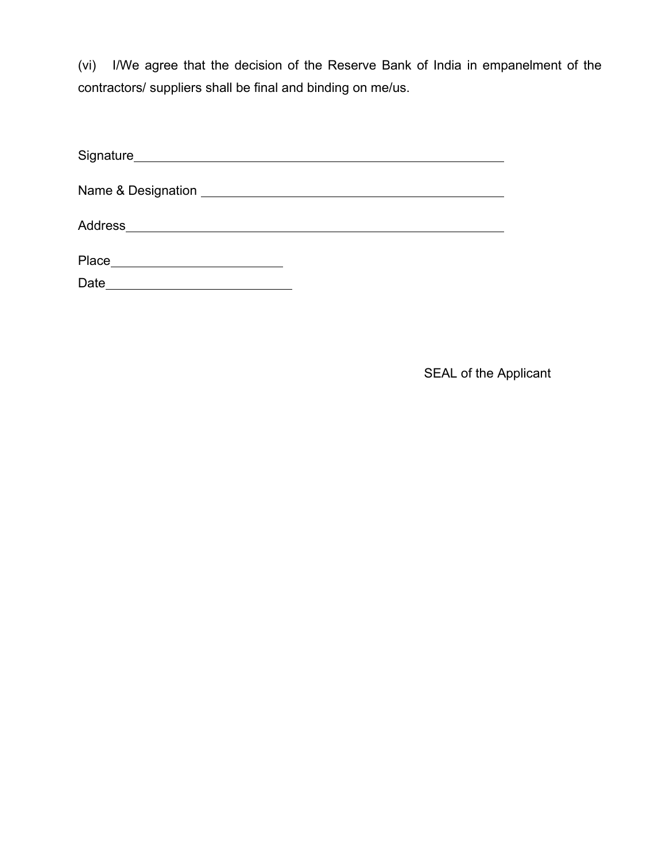(vi) I/We agree that the decision of the Reserve Bank of India in empanelment of the contractors/ suppliers shall be final and binding on me/us.

| Address ___________________________ |       |  |
|-------------------------------------|-------|--|
|                                     |       |  |
|                                     |       |  |
|                                     | Place |  |
|                                     | Date  |  |

SEAL of the Applicant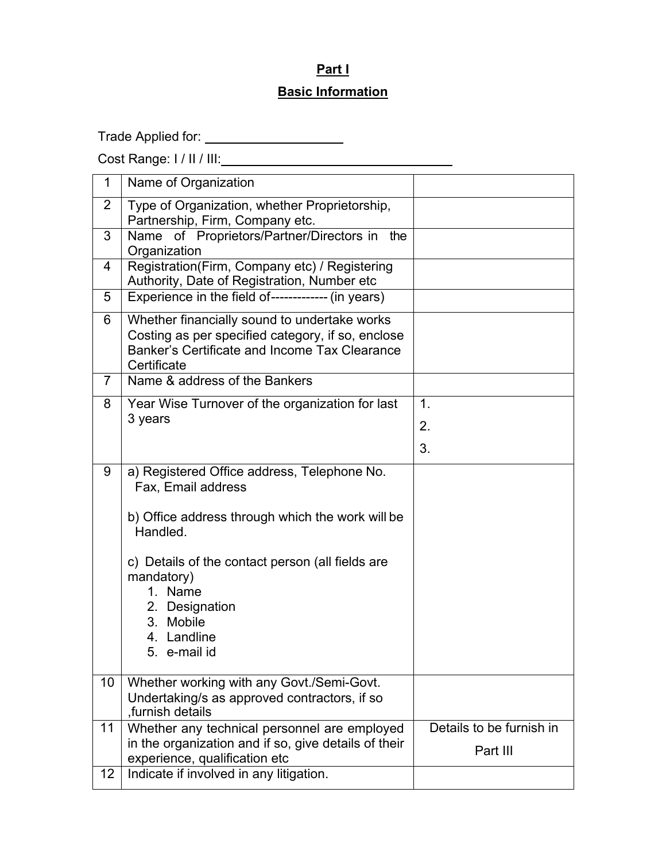# **Part I**

## **Basic Information**

Trade Applied for: \_\_\_\_\_\_\_\_\_\_\_\_\_\_\_\_\_\_\_\_\_\_

Cost Range: I / II / III:

| 1              | Name of Organization                                                                                                                                              |                          |
|----------------|-------------------------------------------------------------------------------------------------------------------------------------------------------------------|--------------------------|
| 2              | Type of Organization, whether Proprietorship,<br>Partnership, Firm, Company etc.                                                                                  |                          |
| 3              | Name of Proprietors/Partner/Directors in the<br>Organization                                                                                                      |                          |
| 4              | Registration(Firm, Company etc) / Registering<br>Authority, Date of Registration, Number etc                                                                      |                          |
| 5              | Experience in the field of------------- (in years)                                                                                                                |                          |
| 6              | Whether financially sound to undertake works<br>Costing as per specified category, if so, enclose<br>Banker's Certificate and Income Tax Clearance<br>Certificate |                          |
| $\overline{7}$ | Name & address of the Bankers                                                                                                                                     |                          |
| 8              | Year Wise Turnover of the organization for last                                                                                                                   | $\mathbf 1$ .            |
|                | 3 years                                                                                                                                                           | 2.                       |
|                |                                                                                                                                                                   | 3.                       |
| 9              | a) Registered Office address, Telephone No.<br>Fax, Email address                                                                                                 |                          |
|                | b) Office address through which the work will be<br>Handled.                                                                                                      |                          |
|                | c) Details of the contact person (all fields are<br>mandatory)<br>1. Name                                                                                         |                          |
|                | 2. Designation<br>3. Mobile                                                                                                                                       |                          |
|                | 4. Landline                                                                                                                                                       |                          |
|                | 5. e-mail id                                                                                                                                                      |                          |
| 10             | Whether working with any Govt./Semi-Govt.                                                                                                                         |                          |
|                | Undertaking/s as approved contractors, if so<br>furnish details,                                                                                                  |                          |
| 11             | Whether any technical personnel are employed                                                                                                                      | Details to be furnish in |
|                | in the organization and if so, give details of their<br>experience, qualification etc                                                                             | Part III                 |
| 12             | Indicate if involved in any litigation.                                                                                                                           |                          |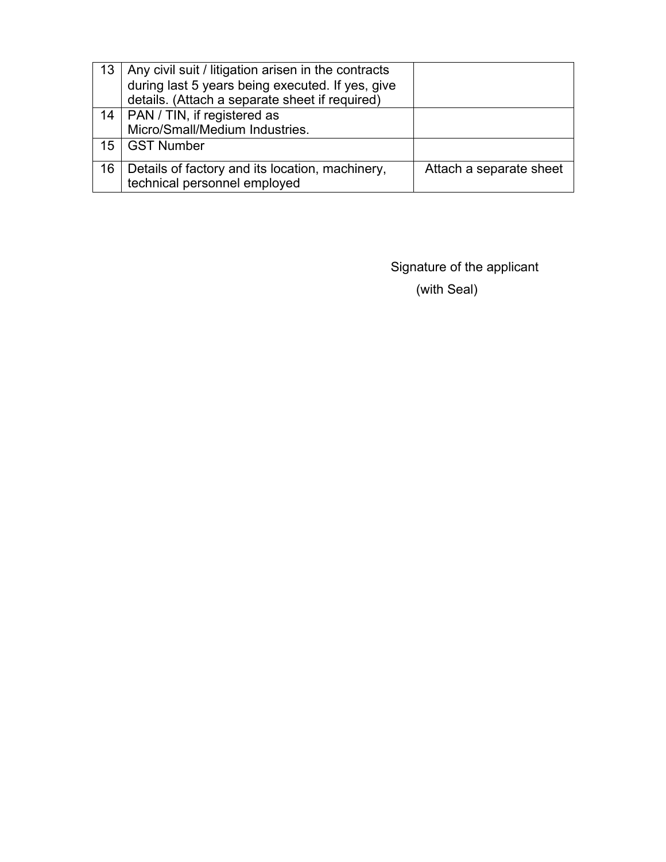|    | 13   Any civil suit / litigation arisen in the contracts<br>during last 5 years being executed. If yes, give<br>details. (Attach a separate sheet if required) |                         |
|----|----------------------------------------------------------------------------------------------------------------------------------------------------------------|-------------------------|
|    | 14   PAN / TIN, if registered as<br>Micro/Small/Medium Industries.                                                                                             |                         |
|    | 15   GST Number                                                                                                                                                |                         |
| 16 | Details of factory and its location, machinery,<br>technical personnel employed                                                                                | Attach a separate sheet |

Signature of the applicant (with Seal)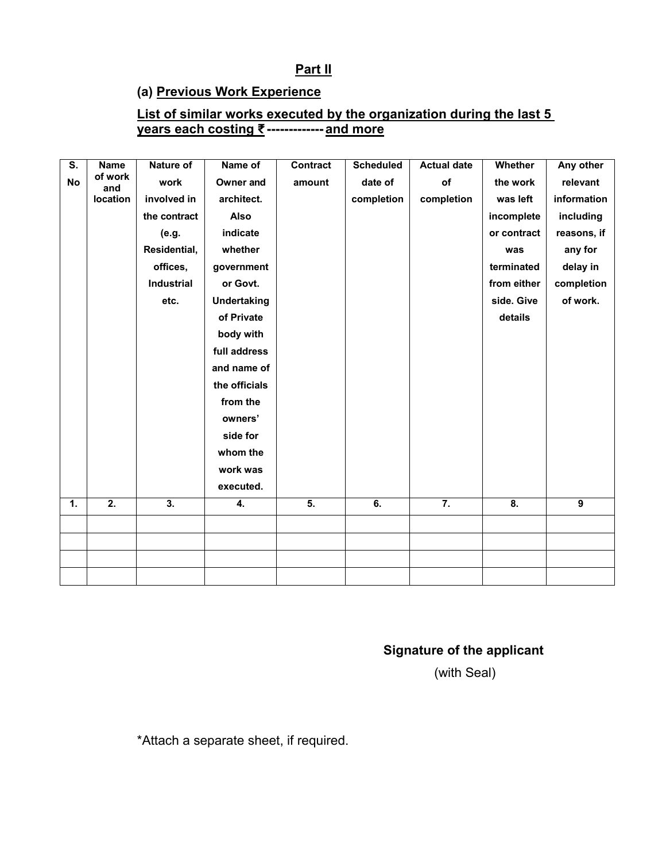### **Part II**

### **(a) Previous Work Experience**

#### **List of similar works executed by the organization during the last 5 years each costing ₹------------- and more**

| $\overline{\mathsf{s}}$ . | <b>Name</b>      | Nature of         | Name of            | Contract         | <b>Scheduled</b> | <b>Actual date</b> | Whether                   | Any other   |
|---------------------------|------------------|-------------------|--------------------|------------------|------------------|--------------------|---------------------------|-------------|
|                           | of work          |                   |                    |                  |                  |                    |                           |             |
| No                        | and              | work              | Owner and          | amount           | date of          | of                 | the work                  | relevant    |
|                           | location         | involved in       | architect.         |                  | completion       | completion         | was left                  | information |
|                           |                  | the contract      | Also               |                  |                  |                    | incomplete                | including   |
|                           |                  | (e.g.             | indicate           |                  |                  |                    | or contract               | reasons, if |
|                           |                  | Residential,      | whether            |                  |                  |                    | was                       | any for     |
|                           |                  | offices,          | government         |                  |                  |                    | terminated                | delay in    |
|                           |                  | <b>Industrial</b> | or Govt.           |                  |                  |                    | from either               | completion  |
|                           |                  | etc.              | <b>Undertaking</b> |                  |                  |                    | side. Give                | of work.    |
|                           |                  |                   | of Private         |                  |                  |                    | details                   |             |
|                           |                  |                   | body with          |                  |                  |                    |                           |             |
|                           |                  |                   | full address       |                  |                  |                    |                           |             |
|                           |                  |                   | and name of        |                  |                  |                    |                           |             |
|                           |                  |                   | the officials      |                  |                  |                    |                           |             |
|                           |                  |                   | from the           |                  |                  |                    |                           |             |
|                           |                  |                   | owners'            |                  |                  |                    |                           |             |
|                           |                  |                   | side for           |                  |                  |                    |                           |             |
|                           |                  |                   | whom the           |                  |                  |                    |                           |             |
|                           |                  |                   | work was           |                  |                  |                    |                           |             |
|                           |                  |                   | executed.          |                  |                  |                    |                           |             |
| 1.                        | $\overline{2}$ . | $\overline{3}$ .  | 4.                 | $\overline{5}$ . | $\overline{6}$ . | $\overline{7}$ .   | $\overline{\mathbf{8}}$ . | 9           |
|                           |                  |                   |                    |                  |                  |                    |                           |             |
|                           |                  |                   |                    |                  |                  |                    |                           |             |
|                           |                  |                   |                    |                  |                  |                    |                           |             |
|                           |                  |                   |                    |                  |                  |                    |                           |             |
|                           |                  |                   |                    |                  |                  |                    |                           |             |

# **Signature of the applicant**

(with Seal)

\*Attach a separate sheet, if required.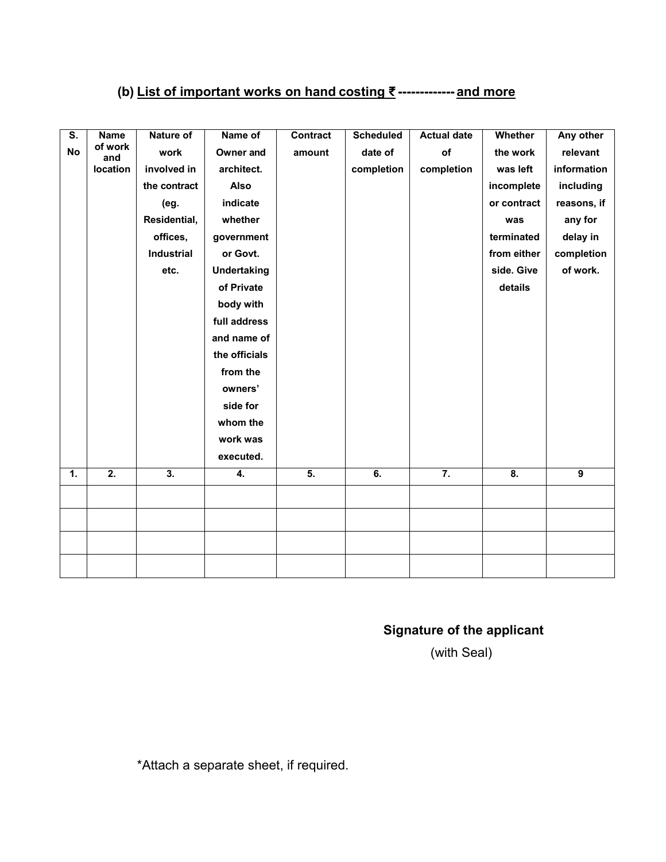# **(b) List of important works on hand costing ₹ ------------- and more**

| S.        | <b>Name</b>      | Nature of        | Name of            | <b>Contract</b> | <b>Scheduled</b> | <b>Actual date</b> | Whether          | Any other      |
|-----------|------------------|------------------|--------------------|-----------------|------------------|--------------------|------------------|----------------|
| <b>No</b> | of work<br>and   | work             | Owner and          | amount          | date of          | of                 | the work         | relevant       |
|           | location         | involved in      | architect.         |                 | completion       | completion         | was left         | information    |
|           |                  | the contract     | Also               |                 |                  |                    | incomplete       | including      |
|           |                  | (eg.             | indicate           |                 |                  |                    | or contract      | reasons, if    |
|           |                  | Residential,     | whether            |                 |                  |                    | was              | any for        |
|           |                  | offices,         | government         |                 |                  |                    | terminated       | delay in       |
|           |                  | Industrial       | or Govt.           |                 |                  |                    | from either      | completion     |
|           |                  | etc.             | <b>Undertaking</b> |                 |                  |                    | side. Give       | of work.       |
|           |                  |                  | of Private         |                 |                  |                    | details          |                |
|           |                  |                  | body with          |                 |                  |                    |                  |                |
|           |                  |                  | full address       |                 |                  |                    |                  |                |
|           |                  |                  | and name of        |                 |                  |                    |                  |                |
|           |                  |                  | the officials      |                 |                  |                    |                  |                |
|           |                  |                  | from the           |                 |                  |                    |                  |                |
|           |                  |                  | owners'            |                 |                  |                    |                  |                |
|           |                  |                  | side for           |                 |                  |                    |                  |                |
|           |                  |                  | whom the           |                 |                  |                    |                  |                |
|           |                  |                  | work was           |                 |                  |                    |                  |                |
|           |                  |                  | executed.          |                 |                  |                    |                  |                |
| 1.        | $\overline{2}$ . | $\overline{3}$ . | 4.                 | 5.              | 6.               | $\overline{7}$ .   | $\overline{8}$ . | $\overline{9}$ |
|           |                  |                  |                    |                 |                  |                    |                  |                |
|           |                  |                  |                    |                 |                  |                    |                  |                |
|           |                  |                  |                    |                 |                  |                    |                  |                |
|           |                  |                  |                    |                 |                  |                    |                  |                |
|           |                  |                  |                    |                 |                  |                    |                  |                |
|           |                  |                  |                    |                 |                  |                    |                  |                |

# **Signature of the applicant**

(with Seal)

\*Attach a separate sheet, if required.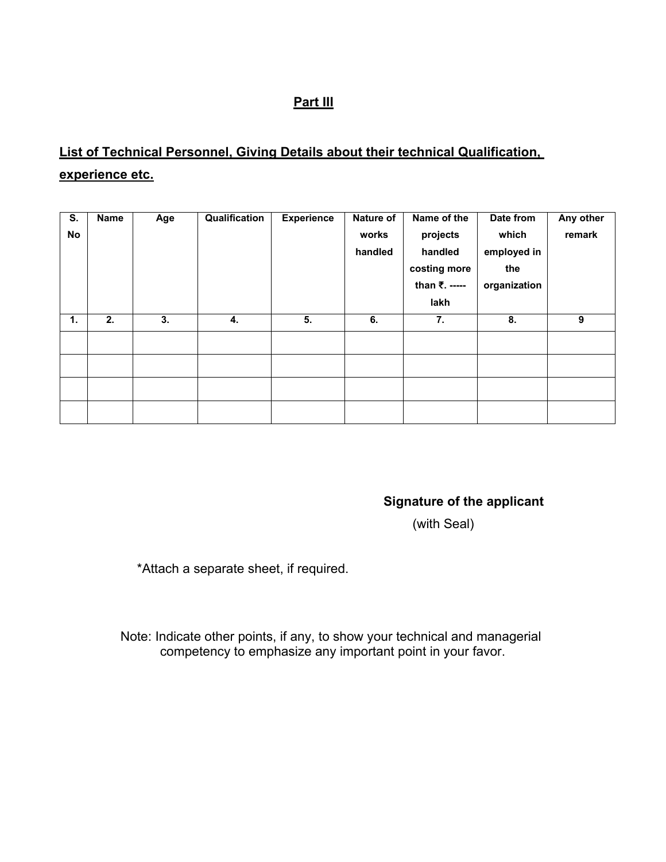## **Part III**

# **List of Technical Personnel, Giving Details about their technical Qualification, experience etc.**

| S.<br>No | Name | Age | Qualification | <b>Experience</b> | Nature of<br>works<br>handled | Name of the<br>projects<br>handled<br>costing more<br>than ₹. -----<br>lakh | Date from<br>which<br>employed in<br>the<br>organization | Any other<br>remark |
|----------|------|-----|---------------|-------------------|-------------------------------|-----------------------------------------------------------------------------|----------------------------------------------------------|---------------------|
| 1.       | 2.   | 3.  | 4.            | 5.                | 6.                            | 7.                                                                          | 8.                                                       | 9                   |
|          |      |     |               |                   |                               |                                                                             |                                                          |                     |
|          |      |     |               |                   |                               |                                                                             |                                                          |                     |
|          |      |     |               |                   |                               |                                                                             |                                                          |                     |
|          |      |     |               |                   |                               |                                                                             |                                                          |                     |

**Signature of the applicant**

(with Seal)

\*Attach a separate sheet, if required.

Note: Indicate other points, if any, to show your technical and managerial competency to emphasize any important point in your favor.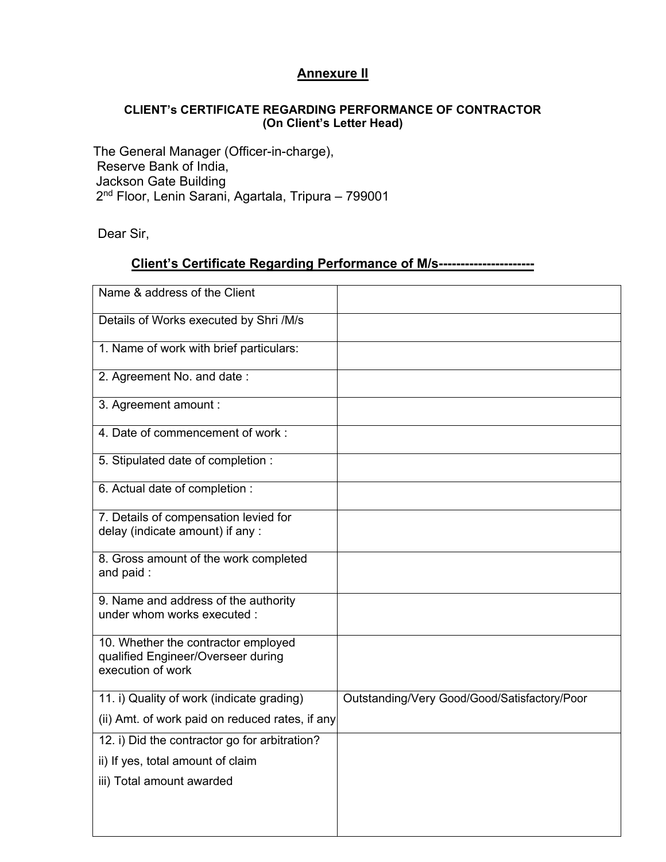### **Annexure II**

#### **CLIENT's CERTIFICATE REGARDING PERFORMANCE OF CONTRACTOR (On Client's Letter Head)**

 The General Manager (Officer-in-charge), Reserve Bank of India, Jackson Gate Building 2nd Floor, Lenin Sarani, Agartala, Tripura – 799001

Dear Sir,

### **Client's Certificate Regarding Performance of M/s----------------------**

| Name & address of the Client                                                                   |                                              |
|------------------------------------------------------------------------------------------------|----------------------------------------------|
| Details of Works executed by Shri /M/s                                                         |                                              |
| 1. Name of work with brief particulars:                                                        |                                              |
| 2. Agreement No. and date:                                                                     |                                              |
| 3. Agreement amount :                                                                          |                                              |
| 4. Date of commencement of work:                                                               |                                              |
| 5. Stipulated date of completion :                                                             |                                              |
| 6. Actual date of completion :                                                                 |                                              |
| 7. Details of compensation levied for<br>delay (indicate amount) if any :                      |                                              |
| 8. Gross amount of the work completed<br>and paid:                                             |                                              |
| 9. Name and address of the authority<br>under whom works executed :                            |                                              |
| 10. Whether the contractor employed<br>qualified Engineer/Overseer during<br>execution of work |                                              |
| 11. i) Quality of work (indicate grading)                                                      | Outstanding/Very Good/Good/Satisfactory/Poor |
| (ii) Amt. of work paid on reduced rates, if any                                                |                                              |
| 12. i) Did the contractor go for arbitration?                                                  |                                              |
| ii) If yes, total amount of claim                                                              |                                              |
| iii) Total amount awarded                                                                      |                                              |
|                                                                                                |                                              |
|                                                                                                |                                              |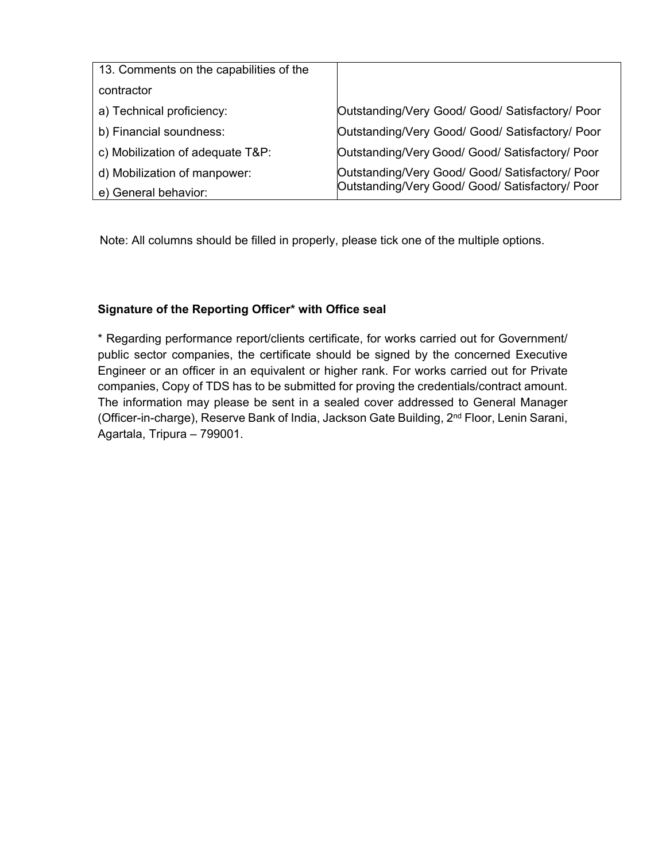| 13. Comments on the capabilities of the |                                                 |  |  |
|-----------------------------------------|-------------------------------------------------|--|--|
| contractor                              |                                                 |  |  |
| a) Technical proficiency:               | Outstanding/Very Good/ Good/ Satisfactory/ Poor |  |  |
| b) Financial soundness:                 | Outstanding/Very Good/ Good/ Satisfactory/ Poor |  |  |
| c) Mobilization of adequate T&P:        | Outstanding/Very Good/ Good/ Satisfactory/ Poor |  |  |
| d) Mobilization of manpower:            | Outstanding/Very Good/ Good/ Satisfactory/ Poor |  |  |
| e) General behavior:                    | Outstanding/Very Good/ Good/ Satisfactory/ Poor |  |  |

Note: All columns should be filled in properly, please tick one of the multiple options.

#### **Signature of the Reporting Officer\* with Office seal**

\* Regarding performance report/clients certificate, for works carried out for Government/ public sector companies, the certificate should be signed by the concerned Executive Engineer or an officer in an equivalent or higher rank. For works carried out for Private companies, Copy of TDS has to be submitted for proving the credentials/contract amount. The information may please be sent in a sealed cover addressed to General Manager (Officer-in-charge), Reserve Bank of India, Jackson Gate Building, 2nd Floor, Lenin Sarani, Agartala, Tripura – 799001.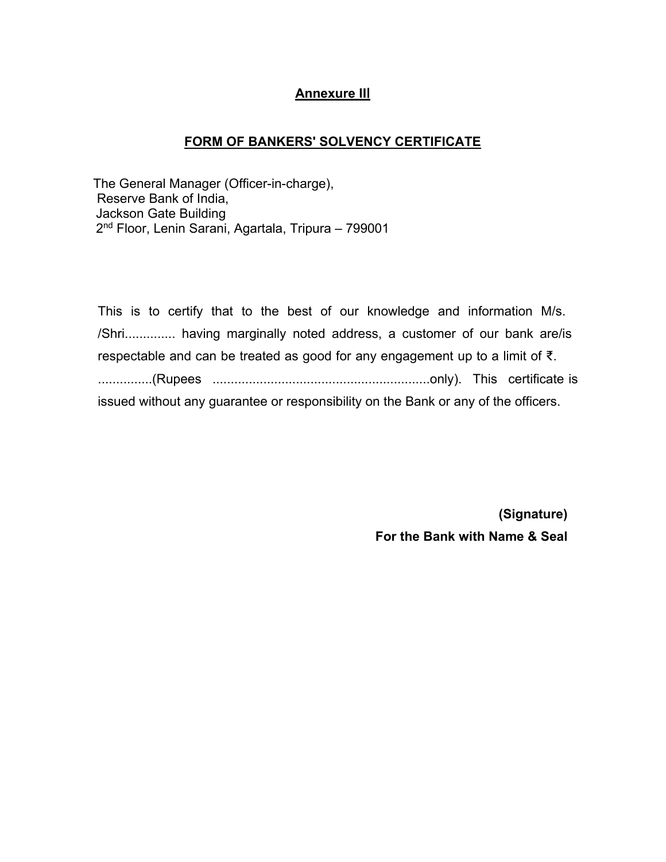### **Annexure II**I

#### **FORM OF BANKERS' SOLVENCY CERTIFICATE**

 The General Manager (Officer-in-charge), Reserve Bank of India, Jackson Gate Building 2nd Floor, Lenin Sarani, Agartala, Tripura – 799001

This is to certify that to the best of our knowledge and information M/s. /Shri.............. having marginally noted address, a customer of our bank are/is respectable and can be treated as good for any engagement up to a limit of ₹. ...............(Rupees ............................................................only). This certificate is issued without any guarantee or responsibility on the Bank or any of the officers.

> **(Signature) For the Bank with Name & Seal**